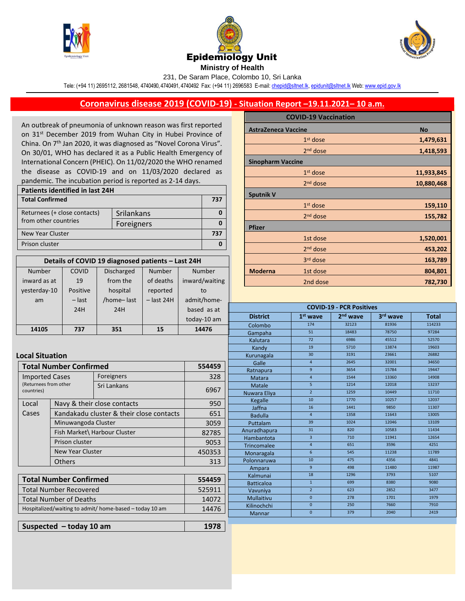





231, De Saram Place, Colombo 10, Sri Lanka

Tele: (+94 11) 2695112, 2681548, 4740490, 4740491, 4740492 Fax: (+94 11) 2696583 E-mail[: chepid@sltnet.lk,](mailto:chepi@sltnet.lk) [epidunit@sltnet.lk](mailto:epidunit@sltnet.lk) Web[: www.epid.gov.lk](http://www.epid.gov.lk/)

## **Coronavirus disease 2019 (COVID-19) - Situation Report –19.11.2021– 10 a.m.**

An outbreak of pneumonia of unknown reason was first reported on 31<sup>st</sup> December 2019 from Wuhan City in Hubei Province of China. On 7<sup>th</sup> Jan 2020, it was diagnosed as "Novel Corona Virus". On 30/01, WHO has declared it as a Public Health Emergency of International Concern (PHEIC). On 11/02/2020 the WHO renamed the disease as COVID-19 and on 11/03/2020 declared as pandemic. The incubation period is reported as 2-14 days.

| <b>Patients identified in last 24H</b> |            |     |  |  |
|----------------------------------------|------------|-----|--|--|
| <b>Total Confirmed</b>                 |            | 737 |  |  |
| Returnees (+ close contacts)           | Srilankans |     |  |  |
| from other countries                   | Foreigners |     |  |  |
| New Year Cluster                       |            | 737 |  |  |
| Prison cluster                         |            |     |  |  |

| Details of COVID 19 diagnosed patients - Last 24H |          |                   |              |                |  |  |
|---------------------------------------------------|----------|-------------------|--------------|----------------|--|--|
| <b>Number</b>                                     | COVID    | <b>Discharged</b> | Number       | <b>Number</b>  |  |  |
| inward as at                                      | 19       | from the          | of deaths    | inward/waiting |  |  |
| yesterday-10                                      | Positive | hospital          | reported     | to             |  |  |
| am                                                | – last   | /home-last        | $-$ last 24H | admit/home-    |  |  |
|                                                   | 24H      | 24H               |              | based as at    |  |  |
|                                                   |          |                   |              | today-10 am    |  |  |
| <b>1410E</b>                                      | フコフ      | <b>DE1</b>        | 1 E .        | 1117C          |  |  |

|                            | <b>COVID-19 Vaccination</b> |            |
|----------------------------|-----------------------------|------------|
| <b>AstraZeneca Vaccine</b> |                             | <b>No</b>  |
|                            | 1 <sup>st</sup> dose        | 1,479,631  |
|                            | $2nd$ dose                  | 1,418,593  |
| <b>Sinopharm Vaccine</b>   |                             |            |
|                            | $1st$ dose                  | 11,933,845 |
|                            | 2 <sup>nd</sup> dose        | 10,880,468 |
| <b>Sputnik V</b>           |                             |            |
|                            | 1 <sup>st</sup> dose        | 159,110    |
|                            | $2nd$ dose                  | 155,782    |
| <b>Pfizer</b>              |                             |            |
|                            | 1st dose                    | 1,520,001  |
|                            | $2nd$ dose                  | 453,202    |
|                            | 3 <sup>rd</sup> dose        | 163,789    |
| <b>Moderna</b>             | 1st dose                    | 804,801    |
|                            | 2nd dose                    | 782,730    |

| 14105<br><b>Total Number Confirmed</b><br><b>Imported Cases</b><br>(Returnees from other<br>countries)<br>Local<br>Cases | 737                     | 24H                                                     |    | based as at<br>today-10 am | <b>District</b>    | $1st$ wave     | 2 <sup>nd</sup> wave | 3rd wave | <b>Total</b> |
|--------------------------------------------------------------------------------------------------------------------------|-------------------------|---------------------------------------------------------|----|----------------------------|--------------------|----------------|----------------------|----------|--------------|
|                                                                                                                          |                         |                                                         |    |                            |                    |                |                      |          |              |
|                                                                                                                          |                         |                                                         |    |                            | Colombo            | 174            | 32123                | 81936    | 114233       |
| <b>Local Situation</b>                                                                                                   |                         | 351                                                     | 15 | 14476                      | Gampaha            | 51             | 18483                | 78750    | 97284        |
|                                                                                                                          |                         |                                                         |    |                            | Kalutara           | 72             | 6986                 | 45512    | 52570        |
|                                                                                                                          |                         |                                                         |    |                            | Kandy              | 19             | 5710                 | 13874    | 19603        |
|                                                                                                                          |                         |                                                         |    |                            | Kurunagala         | 30             | 3191                 | 23661    | 26882        |
|                                                                                                                          |                         |                                                         |    | 554459                     | Galle              | $\overline{4}$ | 2645                 | 32001    | 34650        |
|                                                                                                                          |                         |                                                         |    |                            | Ratnapura          | 9              | 3654                 | 15784    | 19447        |
|                                                                                                                          |                         | Foreigners                                              |    | 328                        | Matara             | $\overline{4}$ | 1544                 | 13360    | 14908        |
|                                                                                                                          |                         | Sri Lankans                                             |    |                            | Matale             | 5              | 1214                 | 12018    | 13237        |
|                                                                                                                          |                         |                                                         |    | 6967                       | Nuwara Eliya       | $\overline{2}$ | 1259                 | 10449    | 11710        |
|                                                                                                                          |                         | Navy & their close contacts                             |    | 950                        | Kegalle            | 10             | 1770                 | 10257    | 12037        |
|                                                                                                                          |                         |                                                         |    |                            | Jaffna             | 16             | 1441                 | 9850     | 11307        |
|                                                                                                                          |                         | Kandakadu cluster & their close contacts                |    | 651                        | <b>Badulla</b>     | $\overline{4}$ | 1358                 | 11643    | 13005        |
|                                                                                                                          | Minuwangoda Cluster     |                                                         |    | 3059                       | Puttalam           | 39             | 1024                 | 12046    | 13109        |
|                                                                                                                          |                         | Fish Market\ Harbour Cluster                            |    | 82785                      | Anuradhapura       | 31             | 820                  | 10583    | 11434        |
|                                                                                                                          | Prison cluster          |                                                         |    | 9053                       | Hambantota         | $\overline{3}$ | 710                  | 11941    | 12654        |
|                                                                                                                          |                         |                                                         |    |                            | <b>Trincomalee</b> | $\overline{4}$ | 651                  | 3596     | 4251         |
|                                                                                                                          | <b>New Year Cluster</b> |                                                         |    | 450353                     | Monaragala         | 6              | 545                  | 11238    | 11789        |
|                                                                                                                          | <b>Others</b>           |                                                         |    | 313                        | Polonnaruwa        | 10             | 475                  | 4356     | 4841         |
|                                                                                                                          |                         |                                                         |    |                            | Ampara             | 9              | 498                  | 11480    | 11987        |
| <b>Total Number Confirmed</b>                                                                                            |                         |                                                         |    | 554459                     | Kalmunai           | 18             | 1296                 | 3793     | 5107         |
|                                                                                                                          |                         |                                                         |    |                            | <b>Batticaloa</b>  | $\mathbf{1}$   | 699                  | 8380     | 9080         |
| <b>Total Number Recovered</b>                                                                                            |                         |                                                         |    | 525911                     | Vavuniya           | $\overline{2}$ | 623                  | 2852     | 3477         |
| <b>Total Number of Deaths</b>                                                                                            |                         |                                                         |    | 14072                      | <b>Mullaitivu</b>  | $\mathbf{0}$   | 278                  | 1701     | 1979         |
|                                                                                                                          |                         | Hospitalized/waiting to admit/ home-based - today 10 am |    | 14476                      | Kilinochchi        | $\mathbf{0}$   | 250                  | 7660     | 7910         |
|                                                                                                                          |                         |                                                         |    |                            | Mannar             | $\mathbf{0}$   | 379                  | 2040     | 2419         |
| Suspected $-$ today 10 am                                                                                                |                         |                                                         |    |                            |                    |                |                      |          |              |